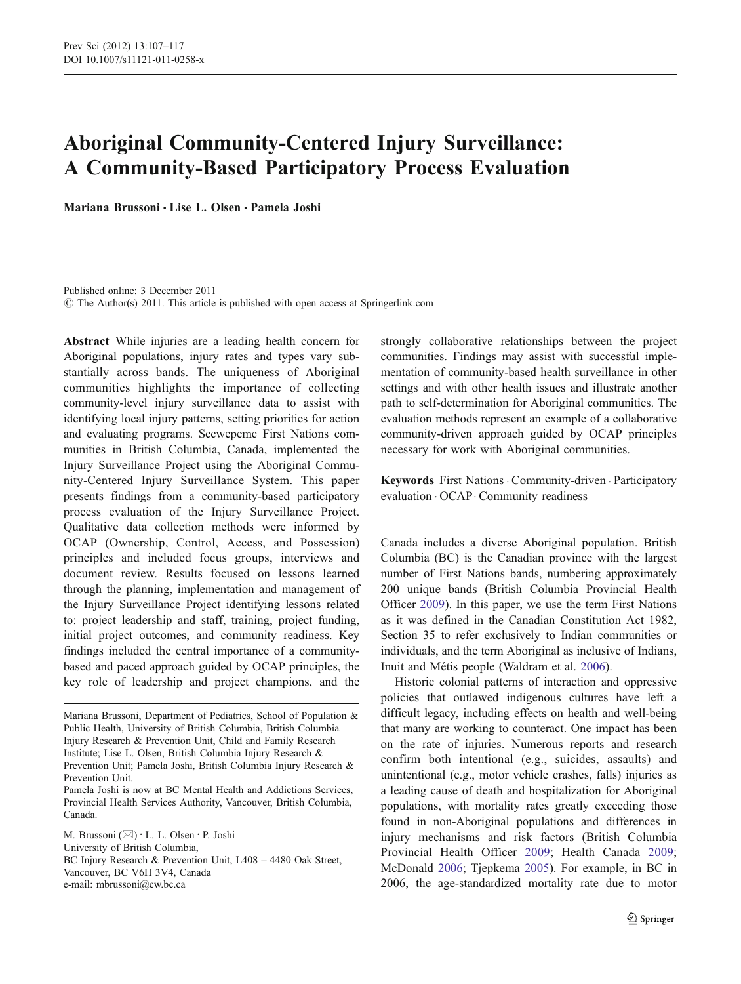# Aboriginal Community-Centered Injury Surveillance: A Community-Based Participatory Process Evaluation

Mariana Brussoni · Lise L. Olsen · Pamela Joshi

Published online: 3 December 2011  $\odot$  The Author(s) 2011. This article is published with open access at Springerlink.com

Abstract While injuries are a leading health concern for Aboriginal populations, injury rates and types vary substantially across bands. The uniqueness of Aboriginal communities highlights the importance of collecting community-level injury surveillance data to assist with identifying local injury patterns, setting priorities for action and evaluating programs. Secwepemc First Nations communities in British Columbia, Canada, implemented the Injury Surveillance Project using the Aboriginal Community-Centered Injury Surveillance System. This paper presents findings from a community-based participatory process evaluation of the Injury Surveillance Project. Qualitative data collection methods were informed by OCAP (Ownership, Control, Access, and Possession) principles and included focus groups, interviews and document review. Results focused on lessons learned through the planning, implementation and management of the Injury Surveillance Project identifying lessons related to: project leadership and staff, training, project funding, initial project outcomes, and community readiness. Key findings included the central importance of a communitybased and paced approach guided by OCAP principles, the key role of leadership and project champions, and the

strongly collaborative relationships between the project communities. Findings may assist with successful implementation of community-based health surveillance in other settings and with other health issues and illustrate another path to self-determination for Aboriginal communities. The evaluation methods represent an example of a collaborative community-driven approach guided by OCAP principles necessary for work with Aboriginal communities.

Keywords First Nations · Community-driven · Participatory evaluation . OCAP. Community readiness

Canada includes a diverse Aboriginal population. British Columbia (BC) is the Canadian province with the largest number of First Nations bands, numbering approximately 200 unique bands (British Columbia Provincial Health Officer [2009\)](#page-10-0). In this paper, we use the term First Nations as it was defined in the Canadian Constitution Act 1982, Section 35 to refer exclusively to Indian communities or individuals, and the term Aboriginal as inclusive of Indians, Inuit and Métis people (Waldram et al. [2006\)](#page-10-0).

Historic colonial patterns of interaction and oppressive policies that outlawed indigenous cultures have left a difficult legacy, including effects on health and well-being that many are working to counteract. One impact has been on the rate of injuries. Numerous reports and research confirm both intentional (e.g., suicides, assaults) and unintentional (e.g., motor vehicle crashes, falls) injuries as a leading cause of death and hospitalization for Aboriginal populations, with mortality rates greatly exceeding those found in non-Aboriginal populations and differences in injury mechanisms and risk factors (British Columbia Provincial Health Officer [2009](#page-10-0); Health Canada [2009;](#page-10-0) McDonald [2006](#page-10-0); Tjepkema [2005\)](#page-10-0). For example, in BC in 2006, the age-standardized mortality rate due to motor

Mariana Brussoni, Department of Pediatrics, School of Population & Public Health, University of British Columbia, British Columbia Injury Research & Prevention Unit, Child and Family Research Institute; Lise L. Olsen, British Columbia Injury Research & Prevention Unit; Pamela Joshi, British Columbia Injury Research & Prevention Unit.

Pamela Joshi is now at BC Mental Health and Addictions Services, Provincial Health Services Authority, Vancouver, British Columbia, Canada.

M. Brussoni (⊠) · L. L. Olsen · P. Joshi University of British Columbia, BC Injury Research & Prevention Unit, L408 – 4480 Oak Street, Vancouver, BC V6H 3V4, Canada e-mail: mbrussoni@cw.bc.ca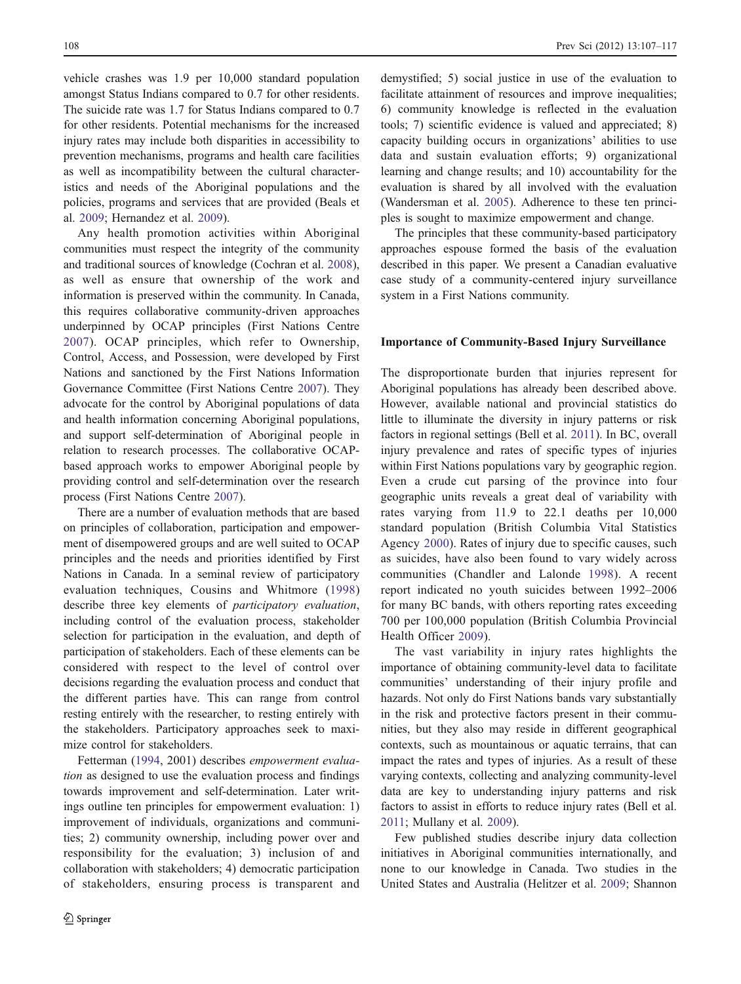vehicle crashes was 1.9 per 10,000 standard population amongst Status Indians compared to 0.7 for other residents. The suicide rate was 1.7 for Status Indians compared to 0.7 for other residents. Potential mechanisms for the increased injury rates may include both disparities in accessibility to prevention mechanisms, programs and health care facilities as well as incompatibility between the cultural characteristics and needs of the Aboriginal populations and the policies, programs and services that are provided (Beals et al. [2009;](#page-10-0) Hernandez et al. [2009](#page-10-0)).

Any health promotion activities within Aboriginal communities must respect the integrity of the community and traditional sources of knowledge (Cochran et al. [2008](#page-10-0)), as well as ensure that ownership of the work and information is preserved within the community. In Canada, this requires collaborative community-driven approaches underpinned by OCAP principles (First Nations Centre [2007\)](#page-10-0). OCAP principles, which refer to Ownership, Control, Access, and Possession, were developed by First Nations and sanctioned by the First Nations Information Governance Committee (First Nations Centre [2007](#page-10-0)). They advocate for the control by Aboriginal populations of data and health information concerning Aboriginal populations, and support self-determination of Aboriginal people in relation to research processes. The collaborative OCAPbased approach works to empower Aboriginal people by providing control and self-determination over the research process (First Nations Centre [2007](#page-10-0)).

There are a number of evaluation methods that are based on principles of collaboration, participation and empowerment of disempowered groups and are well suited to OCAP principles and the needs and priorities identified by First Nations in Canada. In a seminal review of participatory evaluation techniques, Cousins and Whitmore [\(1998\)](#page-10-0) describe three key elements of participatory evaluation, including control of the evaluation process, stakeholder selection for participation in the evaluation, and depth of participation of stakeholders. Each of these elements can be considered with respect to the level of control over decisions regarding the evaluation process and conduct that the different parties have. This can range from control resting entirely with the researcher, to resting entirely with the stakeholders. Participatory approaches seek to maximize control for stakeholders.

Fetterman ([1994,](#page-10-0) 2001) describes empowerment evaluation as designed to use the evaluation process and findings towards improvement and self-determination. Later writings outline ten principles for empowerment evaluation: 1) improvement of individuals, organizations and communities; 2) community ownership, including power over and responsibility for the evaluation; 3) inclusion of and collaboration with stakeholders; 4) democratic participation of stakeholders, ensuring process is transparent and demystified; 5) social justice in use of the evaluation to facilitate attainment of resources and improve inequalities; 6) community knowledge is reflected in the evaluation tools; 7) scientific evidence is valued and appreciated; 8) capacity building occurs in organizations' abilities to use data and sustain evaluation efforts; 9) organizational learning and change results; and 10) accountability for the evaluation is shared by all involved with the evaluation (Wandersman et al. [2005](#page-10-0)). Adherence to these ten principles is sought to maximize empowerment and change.

The principles that these community-based participatory approaches espouse formed the basis of the evaluation described in this paper. We present a Canadian evaluative case study of a community-centered injury surveillance system in a First Nations community.

#### Importance of Community-Based Injury Surveillance

The disproportionate burden that injuries represent for Aboriginal populations has already been described above. However, available national and provincial statistics do little to illuminate the diversity in injury patterns or risk factors in regional settings (Bell et al. [2011\)](#page-10-0). In BC, overall injury prevalence and rates of specific types of injuries within First Nations populations vary by geographic region. Even a crude cut parsing of the province into four geographic units reveals a great deal of variability with rates varying from 11.9 to 22.1 deaths per 10,000 standard population (British Columbia Vital Statistics Agency [2000](#page-10-0)). Rates of injury due to specific causes, such as suicides, have also been found to vary widely across communities (Chandler and Lalonde [1998\)](#page-10-0). A recent report indicated no youth suicides between 1992–2006 for many BC bands, with others reporting rates exceeding 700 per 100,000 population (British Columbia Provincial Health Officer [2009\)](#page-10-0).

The vast variability in injury rates highlights the importance of obtaining community-level data to facilitate communities' understanding of their injury profile and hazards. Not only do First Nations bands vary substantially in the risk and protective factors present in their communities, but they also may reside in different geographical contexts, such as mountainous or aquatic terrains, that can impact the rates and types of injuries. As a result of these varying contexts, collecting and analyzing community-level data are key to understanding injury patterns and risk factors to assist in efforts to reduce injury rates (Bell et al. [2011;](#page-10-0) Mullany et al. [2009\)](#page-10-0).

Few published studies describe injury data collection initiatives in Aboriginal communities internationally, and none to our knowledge in Canada. Two studies in the United States and Australia (Helitzer et al. [2009](#page-10-0); Shannon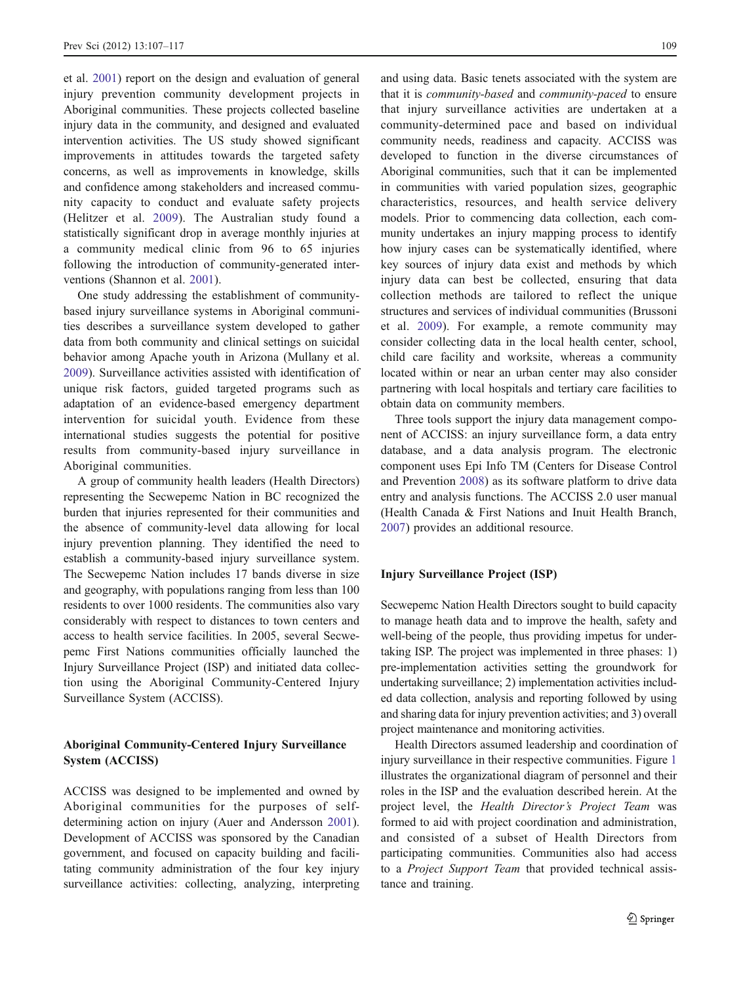et al. [2001](#page-10-0)) report on the design and evaluation of general injury prevention community development projects in Aboriginal communities. These projects collected baseline injury data in the community, and designed and evaluated intervention activities. The US study showed significant improvements in attitudes towards the targeted safety concerns, as well as improvements in knowledge, skills and confidence among stakeholders and increased community capacity to conduct and evaluate safety projects (Helitzer et al. [2009](#page-10-0)). The Australian study found a statistically significant drop in average monthly injuries at a community medical clinic from 96 to 65 injuries following the introduction of community-generated interventions (Shannon et al. [2001](#page-10-0)).

One study addressing the establishment of communitybased injury surveillance systems in Aboriginal communities describes a surveillance system developed to gather data from both community and clinical settings on suicidal behavior among Apache youth in Arizona (Mullany et al. [2009\)](#page-10-0). Surveillance activities assisted with identification of unique risk factors, guided targeted programs such as adaptation of an evidence-based emergency department intervention for suicidal youth. Evidence from these international studies suggests the potential for positive results from community-based injury surveillance in Aboriginal communities.

A group of community health leaders (Health Directors) representing the Secwepemc Nation in BC recognized the burden that injuries represented for their communities and the absence of community-level data allowing for local injury prevention planning. They identified the need to establish a community-based injury surveillance system. The Secwepemc Nation includes 17 bands diverse in size and geography, with populations ranging from less than 100 residents to over 1000 residents. The communities also vary considerably with respect to distances to town centers and access to health service facilities. In 2005, several Secwepemc First Nations communities officially launched the Injury Surveillance Project (ISP) and initiated data collection using the Aboriginal Community-Centered Injury Surveillance System (ACCISS).

# Aboriginal Community-Centered Injury Surveillance System (ACCISS)

ACCISS was designed to be implemented and owned by Aboriginal communities for the purposes of selfdetermining action on injury (Auer and Andersson [2001](#page-10-0)). Development of ACCISS was sponsored by the Canadian government, and focused on capacity building and facilitating community administration of the four key injury surveillance activities: collecting, analyzing, interpreting

and using data. Basic tenets associated with the system are that it is community-based and community-paced to ensure that injury surveillance activities are undertaken at a community-determined pace and based on individual community needs, readiness and capacity. ACCISS was developed to function in the diverse circumstances of Aboriginal communities, such that it can be implemented in communities with varied population sizes, geographic characteristics, resources, and health service delivery models. Prior to commencing data collection, each community undertakes an injury mapping process to identify how injury cases can be systematically identified, where key sources of injury data exist and methods by which injury data can best be collected, ensuring that data collection methods are tailored to reflect the unique structures and services of individual communities (Brussoni et al. [2009\)](#page-10-0). For example, a remote community may consider collecting data in the local health center, school, child care facility and worksite, whereas a community located within or near an urban center may also consider partnering with local hospitals and tertiary care facilities to obtain data on community members.

Three tools support the injury data management component of ACCISS: an injury surveillance form, a data entry database, and a data analysis program. The electronic component uses Epi Info TM (Centers for Disease Control and Prevention [2008\)](#page-10-0) as its software platform to drive data entry and analysis functions. The ACCISS 2.0 user manual (Health Canada & First Nations and Inuit Health Branch, [2007](#page-10-0)) provides an additional resource.

#### Injury Surveillance Project (ISP)

Secwepemc Nation Health Directors sought to build capacity to manage heath data and to improve the health, safety and well-being of the people, thus providing impetus for undertaking ISP. The project was implemented in three phases: 1) pre-implementation activities setting the groundwork for undertaking surveillance; 2) implementation activities included data collection, analysis and reporting followed by using and sharing data for injury prevention activities; and 3) overall project maintenance and monitoring activities.

Health Directors assumed leadership and coordination of injury surveillance in their respective communities. Figure [1](#page-3-0) illustrates the organizational diagram of personnel and their roles in the ISP and the evaluation described herein. At the project level, the Health Director's Project Team was formed to aid with project coordination and administration, and consisted of a subset of Health Directors from participating communities. Communities also had access to a Project Support Team that provided technical assistance and training.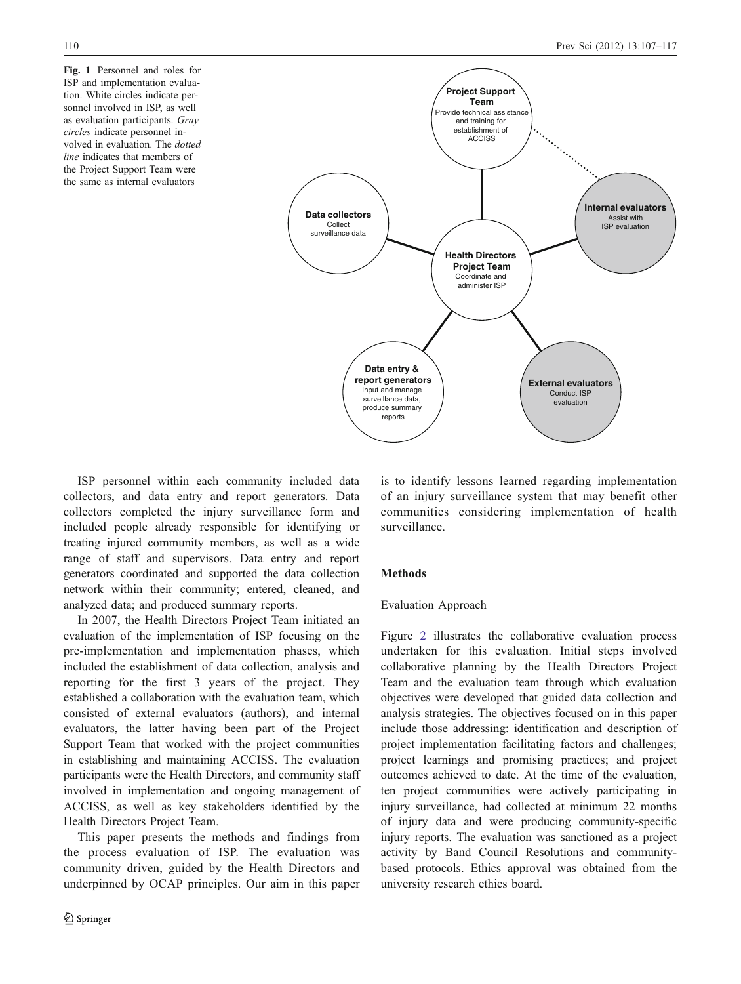<span id="page-3-0"></span>Fig. 1 Personnel and roles for ISP and implementation evaluation. White circles indicate personnel involved in ISP, as well as evaluation participants. Gray circles indicate personnel involved in evaluation. The dotted line indicates that members of the Project Support Team were the same as internal evaluators



ISP personnel within each community included data collectors, and data entry and report generators. Data collectors completed the injury surveillance form and included people already responsible for identifying or treating injured community members, as well as a wide range of staff and supervisors. Data entry and report generators coordinated and supported the data collection network within their community; entered, cleaned, and analyzed data; and produced summary reports.

In 2007, the Health Directors Project Team initiated an evaluation of the implementation of ISP focusing on the pre-implementation and implementation phases, which included the establishment of data collection, analysis and reporting for the first 3 years of the project. They established a collaboration with the evaluation team, which consisted of external evaluators (authors), and internal evaluators, the latter having been part of the Project Support Team that worked with the project communities in establishing and maintaining ACCISS. The evaluation participants were the Health Directors, and community staff involved in implementation and ongoing management of ACCISS, as well as key stakeholders identified by the Health Directors Project Team.

This paper presents the methods and findings from the process evaluation of ISP. The evaluation was community driven, guided by the Health Directors and underpinned by OCAP principles. Our aim in this paper is to identify lessons learned regarding implementation of an injury surveillance system that may benefit other communities considering implementation of health surveillance.

# Methods

# Evaluation Approach

Figure [2](#page-4-0) illustrates the collaborative evaluation process undertaken for this evaluation. Initial steps involved collaborative planning by the Health Directors Project Team and the evaluation team through which evaluation objectives were developed that guided data collection and analysis strategies. The objectives focused on in this paper include those addressing: identification and description of project implementation facilitating factors and challenges; project learnings and promising practices; and project outcomes achieved to date. At the time of the evaluation, ten project communities were actively participating in injury surveillance, had collected at minimum 22 months of injury data and were producing community-specific injury reports. The evaluation was sanctioned as a project activity by Band Council Resolutions and communitybased protocols. Ethics approval was obtained from the university research ethics board.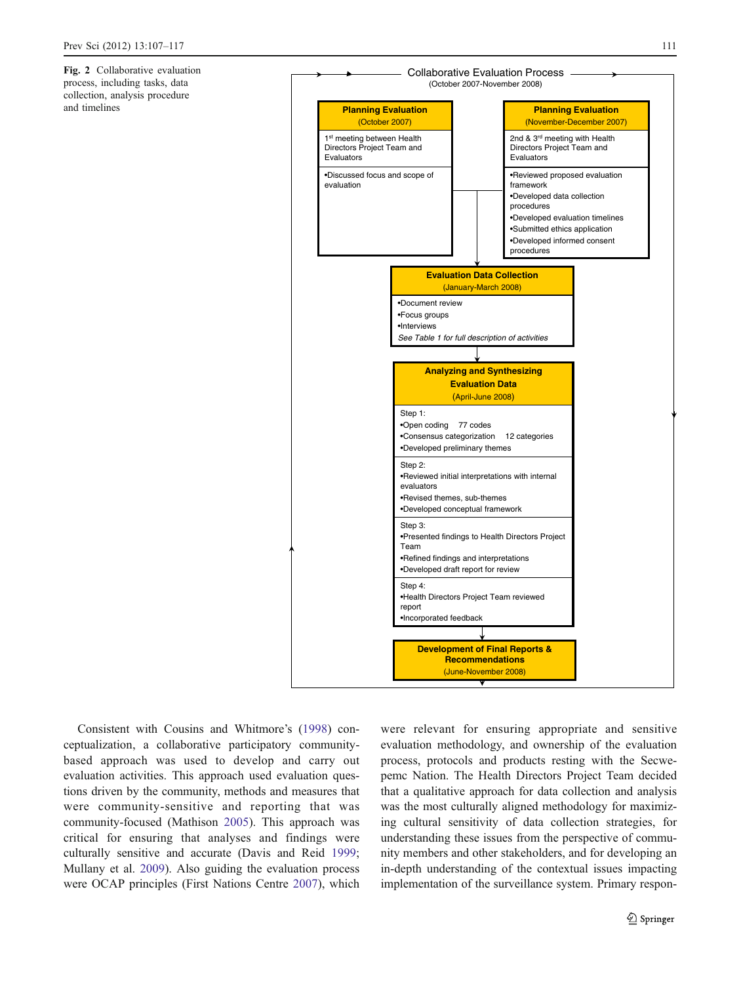<span id="page-4-0"></span>Fig. 2 Collaborative evaluation process, including tasks, data collection, analysis procedure and timelines



Consistent with Cousins and Whitmore's [\(1998](#page-10-0)) conceptualization, a collaborative participatory communitybased approach was used to develop and carry out evaluation activities. This approach used evaluation questions driven by the community, methods and measures that were community-sensitive and reporting that was community-focused (Mathison [2005](#page-10-0)). This approach was critical for ensuring that analyses and findings were culturally sensitive and accurate (Davis and Reid [1999](#page-10-0); Mullany et al. [2009\)](#page-10-0). Also guiding the evaluation process were OCAP principles (First Nations Centre [2007\)](#page-10-0), which were relevant for ensuring appropriate and sensitive evaluation methodology, and ownership of the evaluation process, protocols and products resting with the Secwepemc Nation. The Health Directors Project Team decided that a qualitative approach for data collection and analysis was the most culturally aligned methodology for maximizing cultural sensitivity of data collection strategies, for understanding these issues from the perspective of community members and other stakeholders, and for developing an in-depth understanding of the contextual issues impacting implementation of the surveillance system. Primary respon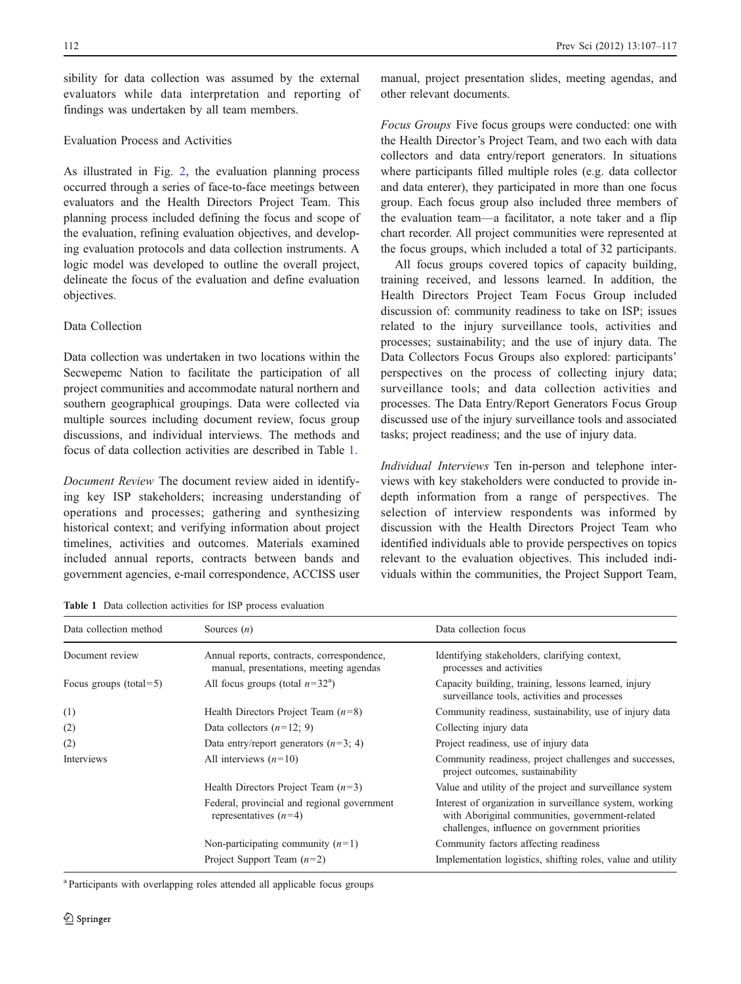sibility for data collection was assumed by the external evaluators while data interpretation and reporting of findings was undertaken by all team members.

## Evaluation Process and Activities

As illustrated in Fig. [2](#page-4-0), the evaluation planning process occurred through a series of face-to-face meetings between evaluators and the Health Directors Project Team. This planning process included defining the focus and scope of the evaluation, refining evaluation objectives, and developing evaluation protocols and data collection instruments. A logic model was developed to outline the overall project, delineate the focus of the evaluation and define evaluation objectives.

# Data Collection

Data collection was undertaken in two locations within the Secwepemc Nation to facilitate the participation of all project communities and accommodate natural northern and southern geographical groupings. Data were collected via multiple sources including document review, focus group discussions, and individual interviews. The methods and focus of data collection activities are described in Table 1.

Document Review The document review aided in identifying key ISP stakeholders; increasing understanding of operations and processes; gathering and synthesizing historical context; and verifying information about project timelines, activities and outcomes. Materials examined included annual reports, contracts between bands and government agencies, e-mail correspondence, ACCISS user

Table 1 Data collection activities for ISP process evaluation

manual, project presentation slides, meeting agendas, and other relevant documents.

Focus Groups Five focus groups were conducted: one with the Health Director's Project Team, and two each with data collectors and data entry/report generators. In situations where participants filled multiple roles (e.g. data collector and data enterer), they participated in more than one focus group. Each focus group also included three members of the evaluation team—a facilitator, a note taker and a flip chart recorder. All project communities were represented at the focus groups, which included a total of 32 participants.

All focus groups covered topics of capacity building, training received, and lessons learned. In addition, the Health Directors Project Team Focus Group included discussion of: community readiness to take on ISP; issues related to the injury surveillance tools, activities and processes; sustainability; and the use of injury data. The Data Collectors Focus Groups also explored: participants' perspectives on the process of collecting injury data; surveillance tools; and data collection activities and processes. The Data Entry/Report Generators Focus Group discussed use of the injury surveillance tools and associated tasks; project readiness; and the use of injury data.

Individual Interviews Ten in-person and telephone interviews with key stakeholders were conducted to provide indepth information from a range of perspectives. The selection of interview respondents was informed by discussion with the Health Directors Project Team who identified individuals able to provide perspectives on topics relevant to the evaluation objectives. This included individuals within the communities, the Project Support Team,

| Data collection method | Sources $(n)$                                                                        | Data collection focus                                                                                                                                         |
|------------------------|--------------------------------------------------------------------------------------|---------------------------------------------------------------------------------------------------------------------------------------------------------------|
| Document review        | Annual reports, contracts, correspondence,<br>manual, presentations, meeting agendas | Identifying stakeholders, clarifying context,<br>processes and activities                                                                                     |
| Focus groups (total=5) | All focus groups (total $n=32^{\circ}$ )                                             | Capacity building, training, lessons learned, injury<br>surveillance tools, activities and processes                                                          |
| (1)                    | Health Directors Project Team $(n=8)$                                                | Community readiness, sustainability, use of injury data                                                                                                       |
| (2)                    | Data collectors $(n=12; 9)$                                                          | Collecting injury data                                                                                                                                        |
| (2)                    | Data entry/report generators $(n=3; 4)$                                              | Project readiness, use of injury data                                                                                                                         |
| Interviews             | All interviews $(n=10)$                                                              | Community readiness, project challenges and successes,<br>project outcomes, sustainability                                                                    |
|                        | Health Directors Project Team $(n=3)$                                                | Value and utility of the project and surveillance system                                                                                                      |
|                        | Federal, provincial and regional government<br>representatives $(n=4)$               | Interest of organization in surveillance system, working<br>with Aboriginal communities, government-related<br>challenges, influence on government priorities |
|                        | Non-participating community $(n=1)$                                                  | Community factors affecting readiness                                                                                                                         |
|                        | Project Support Team $(n=2)$                                                         | Implementation logistics, shifting roles, value and utility                                                                                                   |

<sup>a</sup> Participants with overlapping roles attended all applicable focus groups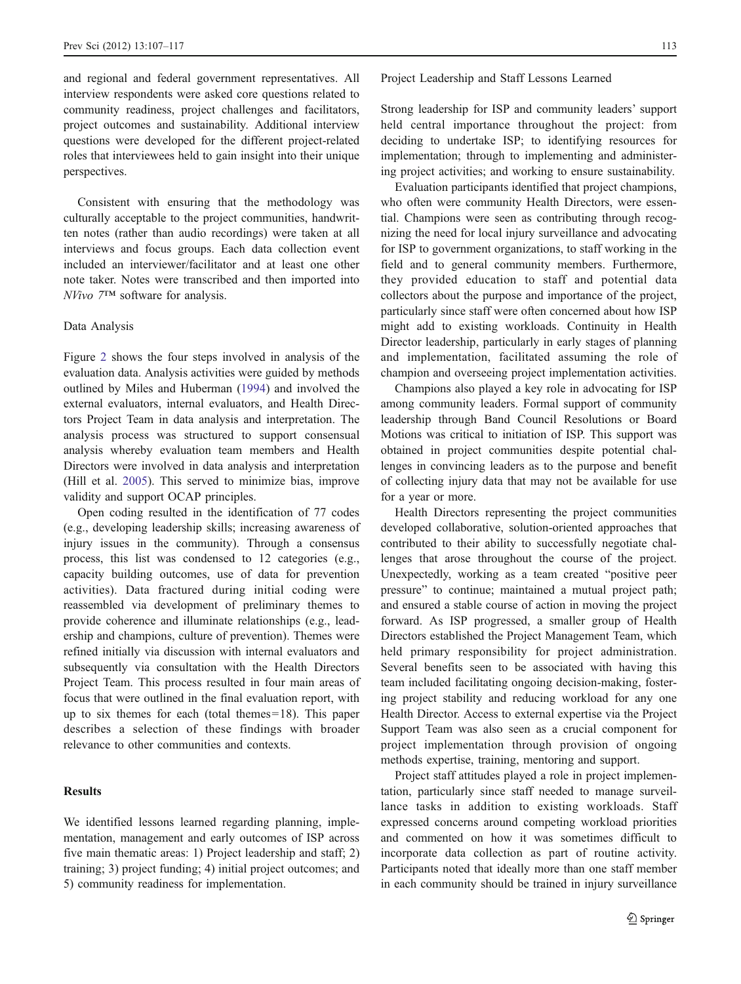and regional and federal government representatives. All interview respondents were asked core questions related to community readiness, project challenges and facilitators, project outcomes and sustainability. Additional interview questions were developed for the different project-related roles that interviewees held to gain insight into their unique perspectives.

Consistent with ensuring that the methodology was culturally acceptable to the project communities, handwritten notes (rather than audio recordings) were taken at all interviews and focus groups. Each data collection event included an interviewer/facilitator and at least one other note taker. Notes were transcribed and then imported into NVivo 7™ software for analysis.

#### Data Analysis

Figure [2](#page-4-0) shows the four steps involved in analysis of the evaluation data. Analysis activities were guided by methods outlined by Miles and Huberman ([1994\)](#page-10-0) and involved the external evaluators, internal evaluators, and Health Directors Project Team in data analysis and interpretation. The analysis process was structured to support consensual analysis whereby evaluation team members and Health Directors were involved in data analysis and interpretation (Hill et al. [2005\)](#page-10-0). This served to minimize bias, improve validity and support OCAP principles.

Open coding resulted in the identification of 77 codes (e.g., developing leadership skills; increasing awareness of injury issues in the community). Through a consensus process, this list was condensed to 12 categories (e.g., capacity building outcomes, use of data for prevention activities). Data fractured during initial coding were reassembled via development of preliminary themes to provide coherence and illuminate relationships (e.g., leadership and champions, culture of prevention). Themes were refined initially via discussion with internal evaluators and subsequently via consultation with the Health Directors Project Team. This process resulted in four main areas of focus that were outlined in the final evaluation report, with up to six themes for each (total themes=18). This paper describes a selection of these findings with broader relevance to other communities and contexts.

## **Results**

We identified lessons learned regarding planning, implementation, management and early outcomes of ISP across five main thematic areas: 1) Project leadership and staff; 2) training; 3) project funding; 4) initial project outcomes; and 5) community readiness for implementation.

Project Leadership and Staff Lessons Learned

Strong leadership for ISP and community leaders' support held central importance throughout the project: from deciding to undertake ISP; to identifying resources for implementation; through to implementing and administering project activities; and working to ensure sustainability.

Evaluation participants identified that project champions, who often were community Health Directors, were essential. Champions were seen as contributing through recognizing the need for local injury surveillance and advocating for ISP to government organizations, to staff working in the field and to general community members. Furthermore, they provided education to staff and potential data collectors about the purpose and importance of the project, particularly since staff were often concerned about how ISP might add to existing workloads. Continuity in Health Director leadership, particularly in early stages of planning and implementation, facilitated assuming the role of champion and overseeing project implementation activities.

Champions also played a key role in advocating for ISP among community leaders. Formal support of community leadership through Band Council Resolutions or Board Motions was critical to initiation of ISP. This support was obtained in project communities despite potential challenges in convincing leaders as to the purpose and benefit of collecting injury data that may not be available for use for a year or more.

Health Directors representing the project communities developed collaborative, solution-oriented approaches that contributed to their ability to successfully negotiate challenges that arose throughout the course of the project. Unexpectedly, working as a team created "positive peer pressure" to continue; maintained a mutual project path; and ensured a stable course of action in moving the project forward. As ISP progressed, a smaller group of Health Directors established the Project Management Team, which held primary responsibility for project administration. Several benefits seen to be associated with having this team included facilitating ongoing decision-making, fostering project stability and reducing workload for any one Health Director. Access to external expertise via the Project Support Team was also seen as a crucial component for project implementation through provision of ongoing methods expertise, training, mentoring and support.

Project staff attitudes played a role in project implementation, particularly since staff needed to manage surveillance tasks in addition to existing workloads. Staff expressed concerns around competing workload priorities and commented on how it was sometimes difficult to incorporate data collection as part of routine activity. Participants noted that ideally more than one staff member in each community should be trained in injury surveillance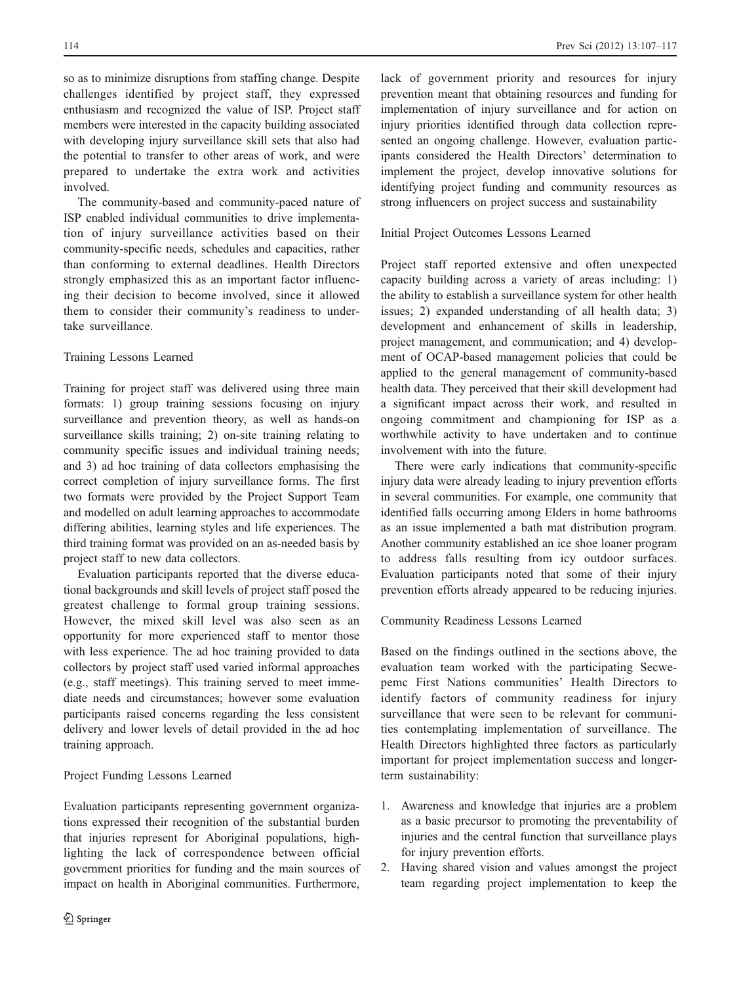so as to minimize disruptions from staffing change. Despite challenges identified by project staff, they expressed enthusiasm and recognized the value of ISP. Project staff members were interested in the capacity building associated with developing injury surveillance skill sets that also had the potential to transfer to other areas of work, and were prepared to undertake the extra work and activities involved.

The community-based and community-paced nature of ISP enabled individual communities to drive implementation of injury surveillance activities based on their community-specific needs, schedules and capacities, rather than conforming to external deadlines. Health Directors strongly emphasized this as an important factor influencing their decision to become involved, since it allowed them to consider their community's readiness to undertake surveillance.

#### Training Lessons Learned

Training for project staff was delivered using three main formats: 1) group training sessions focusing on injury surveillance and prevention theory, as well as hands-on surveillance skills training; 2) on-site training relating to community specific issues and individual training needs; and 3) ad hoc training of data collectors emphasising the correct completion of injury surveillance forms. The first two formats were provided by the Project Support Team and modelled on adult learning approaches to accommodate differing abilities, learning styles and life experiences. The third training format was provided on an as-needed basis by project staff to new data collectors.

Evaluation participants reported that the diverse educational backgrounds and skill levels of project staff posed the greatest challenge to formal group training sessions. However, the mixed skill level was also seen as an opportunity for more experienced staff to mentor those with less experience. The ad hoc training provided to data collectors by project staff used varied informal approaches (e.g., staff meetings). This training served to meet immediate needs and circumstances; however some evaluation participants raised concerns regarding the less consistent delivery and lower levels of detail provided in the ad hoc training approach.

## Project Funding Lessons Learned

Evaluation participants representing government organizations expressed their recognition of the substantial burden that injuries represent for Aboriginal populations, highlighting the lack of correspondence between official government priorities for funding and the main sources of impact on health in Aboriginal communities. Furthermore,

lack of government priority and resources for injury prevention meant that obtaining resources and funding for implementation of injury surveillance and for action on injury priorities identified through data collection represented an ongoing challenge. However, evaluation participants considered the Health Directors' determination to implement the project, develop innovative solutions for identifying project funding and community resources as strong influencers on project success and sustainability

#### Initial Project Outcomes Lessons Learned

Project staff reported extensive and often unexpected capacity building across a variety of areas including: 1) the ability to establish a surveillance system for other health issues; 2) expanded understanding of all health data; 3) development and enhancement of skills in leadership, project management, and communication; and 4) development of OCAP-based management policies that could be applied to the general management of community-based health data. They perceived that their skill development had a significant impact across their work, and resulted in ongoing commitment and championing for ISP as a worthwhile activity to have undertaken and to continue involvement with into the future.

There were early indications that community-specific injury data were already leading to injury prevention efforts in several communities. For example, one community that identified falls occurring among Elders in home bathrooms as an issue implemented a bath mat distribution program. Another community established an ice shoe loaner program to address falls resulting from icy outdoor surfaces. Evaluation participants noted that some of their injury prevention efforts already appeared to be reducing injuries.

#### Community Readiness Lessons Learned

Based on the findings outlined in the sections above, the evaluation team worked with the participating Secwepemc First Nations communities' Health Directors to identify factors of community readiness for injury surveillance that were seen to be relevant for communities contemplating implementation of surveillance. The Health Directors highlighted three factors as particularly important for project implementation success and longerterm sustainability:

- 1. Awareness and knowledge that injuries are a problem as a basic precursor to promoting the preventability of injuries and the central function that surveillance plays for injury prevention efforts.
- 2. Having shared vision and values amongst the project team regarding project implementation to keep the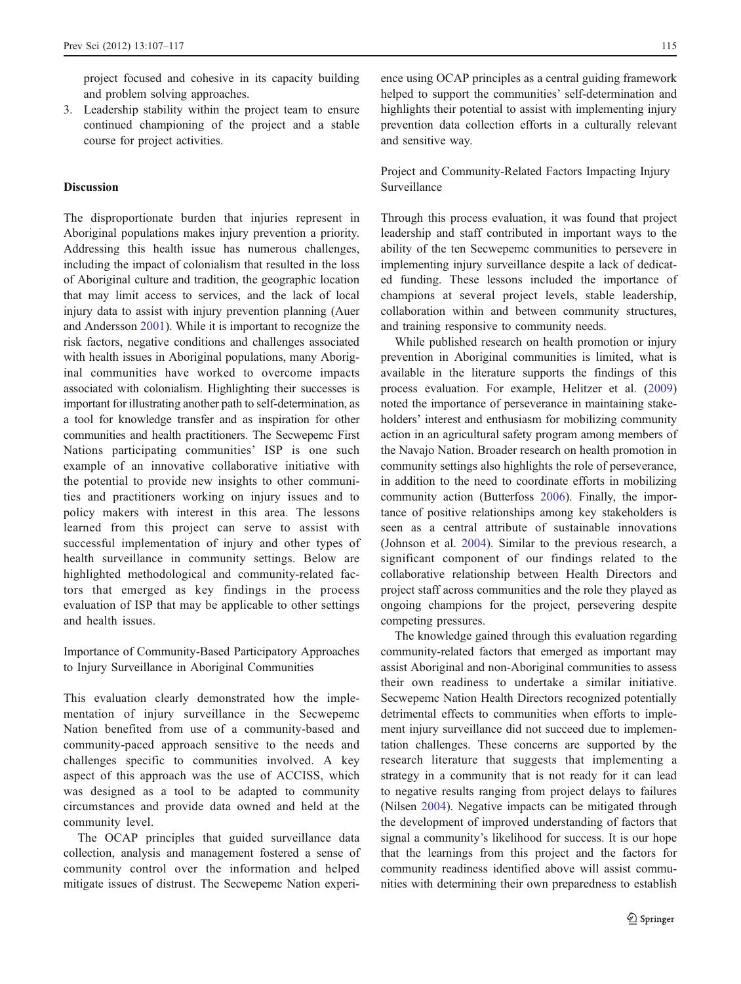project focused and cohesive in its capacity building and problem solving approaches.

3. Leadership stability within the project team to ensure continued championing of the project and a stable course for project activities.

#### **Discussion**

The disproportionate burden that injuries represent in Aboriginal populations makes injury prevention a priority. Addressing this health issue has numerous challenges, including the impact of colonialism that resulted in the loss of Aboriginal culture and tradition, the geographic location that may limit access to services, and the lack of local injury data to assist with injury prevention planning (Auer and Andersson [2001\)](#page-10-0). While it is important to recognize the risk factors, negative conditions and challenges associated with health issues in Aboriginal populations, many Aboriginal communities have worked to overcome impacts associated with colonialism. Highlighting their successes is important for illustrating another path to self-determination, as a tool for knowledge transfer and as inspiration for other communities and health practitioners. The Secwepemc First Nations participating communities' ISP is one such example of an innovative collaborative initiative with the potential to provide new insights to other communities and practitioners working on injury issues and to policy makers with interest in this area. The lessons learned from this project can serve to assist with successful implementation of injury and other types of health surveillance in community settings. Below are highlighted methodological and community-related factors that emerged as key findings in the process evaluation of ISP that may be applicable to other settings and health issues.

Importance of Community-Based Participatory Approaches to Injury Surveillance in Aboriginal Communities

This evaluation clearly demonstrated how the implementation of injury surveillance in the Secwepemc Nation benefited from use of a community-based and community-paced approach sensitive to the needs and challenges specific to communities involved. A key aspect of this approach was the use of ACCISS, which was designed as a tool to be adapted to community circumstances and provide data owned and held at the community level.

The OCAP principles that guided surveillance data collection, analysis and management fostered a sense of community control over the information and helped mitigate issues of distrust. The Secwepemc Nation experi-

ence using OCAP principles as a central guiding framework helped to support the communities' self-determination and highlights their potential to assist with implementing injury prevention data collection efforts in a culturally relevant and sensitive way.

Project and Community-Related Factors Impacting Injury Surveillance

Through this process evaluation, it was found that project leadership and staff contributed in important ways to the ability of the ten Secwepemc communities to persevere in implementing injury surveillance despite a lack of dedicated funding. These lessons included the importance of champions at several project levels, stable leadership, collaboration within and between community structures, and training responsive to community needs.

While published research on health promotion or injury prevention in Aboriginal communities is limited, what is available in the literature supports the findings of this process evaluation. For example, Helitzer et al. [\(2009](#page-10-0)) noted the importance of perseverance in maintaining stakeholders' interest and enthusiasm for mobilizing community action in an agricultural safety program among members of the Navajo Nation. Broader research on health promotion in community settings also highlights the role of perseverance, in addition to the need to coordinate efforts in mobilizing community action (Butterfoss [2006\)](#page-10-0). Finally, the importance of positive relationships among key stakeholders is seen as a central attribute of sustainable innovations (Johnson et al. [2004](#page-10-0)). Similar to the previous research, a significant component of our findings related to the collaborative relationship between Health Directors and project staff across communities and the role they played as ongoing champions for the project, persevering despite competing pressures.

The knowledge gained through this evaluation regarding community-related factors that emerged as important may assist Aboriginal and non-Aboriginal communities to assess their own readiness to undertake a similar initiative. Secwepemc Nation Health Directors recognized potentially detrimental effects to communities when efforts to implement injury surveillance did not succeed due to implementation challenges. These concerns are supported by the research literature that suggests that implementing a strategy in a community that is not ready for it can lead to negative results ranging from project delays to failures (Nilsen [2004\)](#page-10-0). Negative impacts can be mitigated through the development of improved understanding of factors that signal a community's likelihood for success. It is our hope that the learnings from this project and the factors for community readiness identified above will assist communities with determining their own preparedness to establish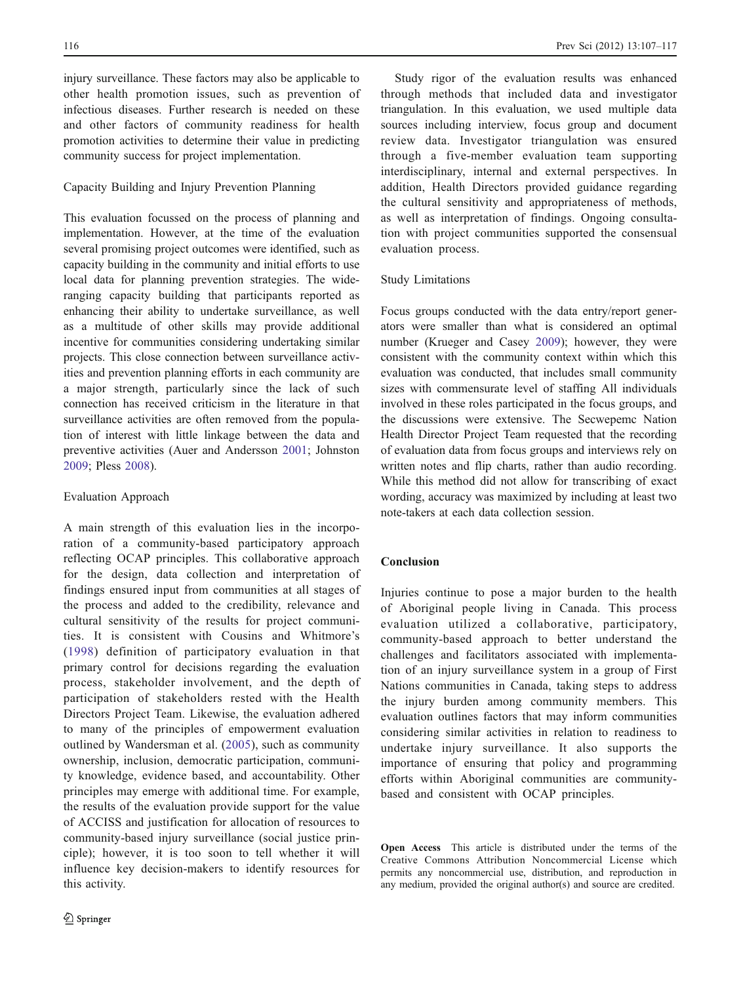injury surveillance. These factors may also be applicable to other health promotion issues, such as prevention of infectious diseases. Further research is needed on these and other factors of community readiness for health promotion activities to determine their value in predicting community success for project implementation.

#### Capacity Building and Injury Prevention Planning

This evaluation focussed on the process of planning and implementation. However, at the time of the evaluation several promising project outcomes were identified, such as capacity building in the community and initial efforts to use local data for planning prevention strategies. The wideranging capacity building that participants reported as enhancing their ability to undertake surveillance, as well as a multitude of other skills may provide additional incentive for communities considering undertaking similar projects. This close connection between surveillance activities and prevention planning efforts in each community are a major strength, particularly since the lack of such connection has received criticism in the literature in that surveillance activities are often removed from the population of interest with little linkage between the data and preventive activities (Auer and Andersson [2001](#page-10-0); Johnston [2009;](#page-10-0) Pless [2008\)](#page-10-0).

#### Evaluation Approach

A main strength of this evaluation lies in the incorporation of a community-based participatory approach reflecting OCAP principles. This collaborative approach for the design, data collection and interpretation of findings ensured input from communities at all stages of the process and added to the credibility, relevance and cultural sensitivity of the results for project communities. It is consistent with Cousins and Whitmore's ([1998\)](#page-10-0) definition of participatory evaluation in that primary control for decisions regarding the evaluation process, stakeholder involvement, and the depth of participation of stakeholders rested with the Health Directors Project Team. Likewise, the evaluation adhered to many of the principles of empowerment evaluation outlined by Wandersman et al. [\(2005\)](#page-10-0), such as community ownership, inclusion, democratic participation, community knowledge, evidence based, and accountability. Other principles may emerge with additional time. For example, the results of the evaluation provide support for the value of ACCISS and justification for allocation of resources to community-based injury surveillance (social justice principle); however, it is too soon to tell whether it will influence key decision-makers to identify resources for this activity.

Study rigor of the evaluation results was enhanced through methods that included data and investigator triangulation. In this evaluation, we used multiple data sources including interview, focus group and document review data. Investigator triangulation was ensured through a five-member evaluation team supporting interdisciplinary, internal and external perspectives. In addition, Health Directors provided guidance regarding the cultural sensitivity and appropriateness of methods, as well as interpretation of findings. Ongoing consultation with project communities supported the consensual evaluation process.

#### Study Limitations

Focus groups conducted with the data entry/report generators were smaller than what is considered an optimal number (Krueger and Casey [2009\)](#page-10-0); however, they were consistent with the community context within which this evaluation was conducted, that includes small community sizes with commensurate level of staffing All individuals involved in these roles participated in the focus groups, and the discussions were extensive. The Secwepemc Nation Health Director Project Team requested that the recording of evaluation data from focus groups and interviews rely on written notes and flip charts, rather than audio recording. While this method did not allow for transcribing of exact wording, accuracy was maximized by including at least two note-takers at each data collection session.

# Conclusion

Injuries continue to pose a major burden to the health of Aboriginal people living in Canada. This process evaluation utilized a collaborative, participatory, community-based approach to better understand the challenges and facilitators associated with implementation of an injury surveillance system in a group of First Nations communities in Canada, taking steps to address the injury burden among community members. This evaluation outlines factors that may inform communities considering similar activities in relation to readiness to undertake injury surveillance. It also supports the importance of ensuring that policy and programming efforts within Aboriginal communities are communitybased and consistent with OCAP principles.

Open Access This article is distributed under the terms of the Creative Commons Attribution Noncommercial License which permits any noncommercial use, distribution, and reproduction in any medium, provided the original author(s) and source are credited.